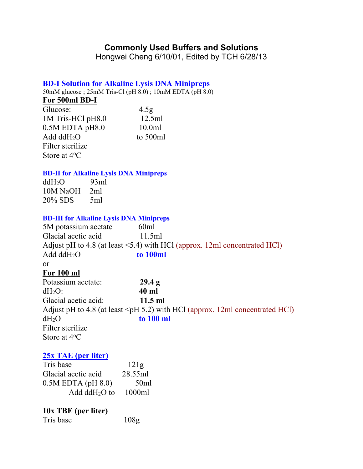# **Commonly Used Buffers and Solutions**

Hongwei Cheng 6/10/01, Edited by TCH 6/28/13

# **BD-I Solution for Alkaline Lysis DNA Minipreps**

50mM glucose ; 25mM Tris-Cl (pH 8.0) ; 10mM EDTA (pH 8.0)

# **For 500ml BD-I**

| Glucose:              | 4.5 <sub>g</sub> |
|-----------------------|------------------|
| 1M Tris-HCl pH8.0     | 12.5ml           |
| $0.5M$ EDTA pH $8.0$  | 10.0ml           |
| Add $ddH2O$           | to 500ml         |
| Filter sterilize      |                  |
| Store at $4^{\circ}C$ |                  |

# **BD-II for Alkaline Lysis DNA Minipreps**

ddH<sub>2</sub>O 93m<br>10M NaOH 2ml 10M NaOH 20% SDS 5ml

### **BD-III for Alkaline Lysis DNA Minipreps**

| 5M potassium acetate  | 60 <sub>ml</sub>                                                                   |
|-----------------------|------------------------------------------------------------------------------------|
| Glacial acetic acid   | 11.5ml                                                                             |
|                       | Adjust pH to 4.8 (at least $\leq$ 5.4) with HCl (approx. 12ml concentrated HCl)    |
| Add $ddH_2O$          | to 100ml                                                                           |
| 0r                    |                                                                                    |
| For 100 ml            |                                                                                    |
| Potassium acetate:    | 29.4 g                                                                             |
| $dH_2O$ :             | $40$ ml                                                                            |
| Glacial acetic acid:  | $11.5$ ml                                                                          |
|                       | Adjust pH to 4.8 (at least $\leq$ pH 5.2) with HCl (approx. 12ml concentrated HCl) |
| $dH_2O$               | to 100 ml                                                                          |
| Filter sterilize      |                                                                                    |
| Store at $4^{\circ}C$ |                                                                                    |

# **25x TAE (per liter)**

| Tris base               | 121g    |
|-------------------------|---------|
| Glacial acetic acid     | 28.55ml |
| $0.5M$ EDTA (pH $8.0$ ) | 50ml    |
| Add $ddH2O$ to          | 1000ml  |

# **10x TBE (per liter)**

Tris base 108g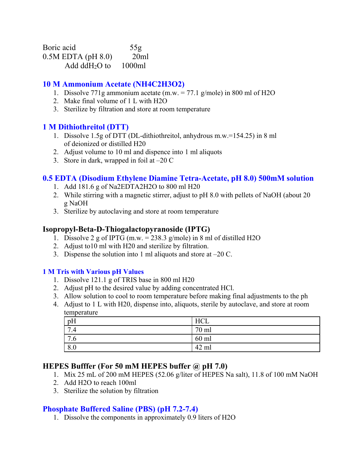Boric acid 55g 0.5M EDTA (pH 8.0) 20ml Add dd $H_2O$  to 1000ml

# **10 M Ammonium Acetate (NH4C2H3O2)**

- 1. Dissolve 771g ammonium acetate (m.w.  $= 77.1$  g/mole) in 800 ml of H2O
- 2. Make final volume of 1 L with H2O
- 3. Sterilize by filtration and store at room temperature

# **1 M Dithiothreitol (DTT)**

- 1. Dissolve 1.5g of DTT (DL-dithiothreitol, anhydrous m.w.=154.25) in 8 ml of deionized or distilled H20
- 2. Adjust volume to 10 ml and dispence into 1 ml aliquots
- 3. Store in dark, wrapped in foil at  $-20 \text{ C}$

# **0.5 EDTA (Disodium Ethylene Diamine Tetra-Acetate, pH 8.0) 500mM solution**

- 1. Add 181.6 g of Na2EDTA2H2O to 800 ml H20
- 2. While stirring with a magnetic stirrer, adjust to pH 8.0 with pellets of NaOH (about 20 g NaOH
- 3. Sterilize by autoclaving and store at room temperature

### **Isopropyl-Beta-D-Thiogalactopyranoside (IPTG)**

- 1. Dissolve 2 g of IPTG (m.w.  $= 238.3$  g/mole) in 8 ml of distilled H2O
- 2. Adjust to10 ml with H20 and sterilize by filtration.
- 3. Dispense the solution into 1 ml aliquots and store at  $-20$  C.

### **1 M Tris with Various pH Values**

- 1. Dissolve 121.1 g of TRIS base in 800 ml H20
- 2. Adjust pH to the desired value by adding concentrated HCl.
- 3. Allow solution to cool to room temperature before making final adjustments to the ph
- 4. Adjust to 1 L with H20, dispense into, aliquots, sterile by autoclave, and store at room temperature

| $\cdots$                                   |                      |
|--------------------------------------------|----------------------|
| pH                                         | <b>TTAT</b><br>. . U |
| $\mathbf{r}$<br>. . T                      | $70 \text{ m}$       |
| $\overline{ }$<br>$\overline{\phantom{a}}$ | $60$ ml              |
| 8.0                                        | $\Delta$<br>ml<br>┰∠ |

# **HEPES Bufffer (For 50 mM HEPES buffer @ pH 7.0)**

- 1. Mix 25 mL of 200 mM HEPES (52.06 g/liter of HEPES Na salt), 11.8 of 100 mM NaOH
- 2. Add H2O to reach 100ml
- 3. Sterilize the solution by filtration

# **Phosphate Buffered Saline (PBS) (pH 7.2-7.4)**

1. Dissolve the components in approximately 0.9 liters of H2O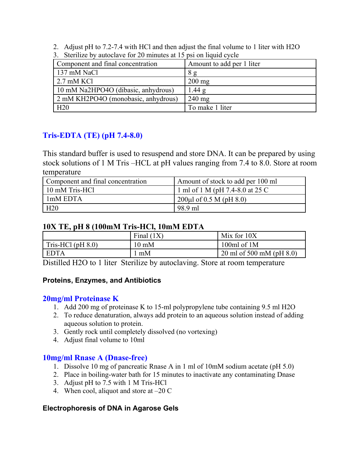2. Adjust pH to 7.2-7.4 with HCl and then adjust the final volume to 1 liter with H2O

| $\sigma$ . Stermal by adioclave for 20 minutes at 19 psi on hourd every |
|-------------------------------------------------------------------------|
| Amount to add per 1 liter                                               |
| 8g                                                                      |
| $200 \text{ mg}$                                                        |
| 1.44g                                                                   |
| $240 \text{ mg}$                                                        |
| To make 1 liter                                                         |
|                                                                         |

3. Sterilize by autoclave for 20 minutes at 15 psi on liquid cycle

# **Tris-EDTA (TE) (pH 7.4-8.0)**

This standard buffer is used to resuspend and store DNA. It can be prepared by using stock solutions of 1 M Tris –HCL at pH values ranging from 7.4 to 8.0. Store at room temperature

| Component and final concentration | Amount of stock to add per 100 ml |
|-----------------------------------|-----------------------------------|
| 10 mM Tris-HCl                    | 1 ml of 1 M (pH 7.4-8.0 at 25 C   |
| 1 <sub>m</sub> M EDTA             | $200\mu l$ of 0.5 M (pH 8.0)      |
|                                   | 98.9 ml                           |

# **10X TE, pH 8 (100mM Tris-HCl, 10mM EDTA**

|                     | Final $(1X)$    | Mix for 10X                 |
|---------------------|-----------------|-----------------------------|
| Tris-HCl $(pH 8.0)$ | $10 \text{ mM}$ | 100 $ml$ of 1M              |
| EDTA                | mM              | 20 ml of 500 mM (pH $8.0$ ) |

Distilled H2O to 1 liter Sterilize by autoclaving. Store at room temperature

# **Proteins, Enzymes, and Antibiotics**

# **20mg/ml Proteinase K**

- 1. Add 200 mg of proteinase K to 15-ml polypropylene tube containing 9.5 ml H2O
- 2. To reduce denaturation, always add protein to an aqueous solution instead of adding aqueous solution to protein.
- 3. Gently rock until completely dissolved (no vortexing)
- 4. Adjust final volume to 10ml

# **10mg/ml Rnase A (Dnase-free)**

- 1. Dissolve 10 mg of pancreatic Rnase A in 1 ml of 10mM sodium acetate (pH 5.0)
- 2. Place in boiling-water bath for 15 minutes to inactivate any contaminating Dnase
- 3. Adjust pH to 7.5 with 1 M Tris-HCl
- 4. When cool, aliquot and store at  $-20 \text{ C}$

# **Electrophoresis of DNA in Agarose Gels**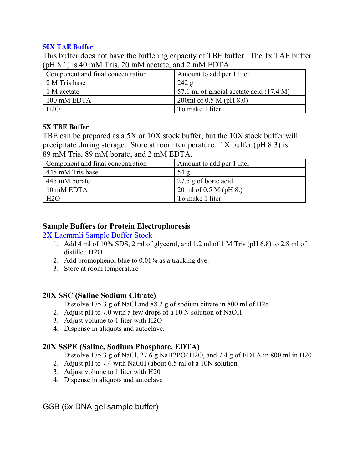### **50X TAE Buffer**

This buffer does not have the buffering capacity of TBE buffer. The 1x TAE buffer (pH 8.1) is 40 mM Tris, 20 mM acetate, and 2 mM EDTA

| Component and final concentration | Amount to add per 1 liter                |
|-----------------------------------|------------------------------------------|
| 2 M Tris base                     | 242 g                                    |
| 1 M acetate                       | 57.1 ml of glacial acetate acid (17.4 M) |
| 100 mM EDTA                       | 200ml of 0.5 M (pH $8.0$ )               |
| H2O                               | To make 1 liter                          |

## **5X TBE Buffer**

TBE can be prepared as a 5X or 10X stock buffer, but the 10X stock buffer will precipitate during storage. Store at room temperature. 1X buffer (pH 8.3) is 89 mM Tris, 89 mM borate, and 2 mM EDTA.

| Component and final concentration | Amount to add per 1 liter |
|-----------------------------------|---------------------------|
| 445 mM Tris base                  | 54g                       |
| 445 mM borate                     | 27.5 g of boric acid      |
| 10 mM EDTA                        | 20 ml of 0.5 M (pH 8.)    |
| H2O                               | To make 1 liter           |

# **Sample Buffers for Protein Electrophoresis**

### 2X Laemmli Sample Buffer Stock

- 1. Add 4 ml of 10% SDS, 2 ml of glycerol, and 1.2 ml of 1 M Tris (pH 6.8) to 2.8 ml of distilled H2O
- 2. Add bromophenol blue to 0.01% as a tracking dye.
- 3. Store at room temperature

# **20X SSC (Saline Sodium Citrate)**

- 1. Dissolve 175.3 g of NaCl and 88.2 g of sodium citrate in 800 ml of H2o
- 2. Adjust pH to 7.0 with a few drops of a 10 N solution of NaOH
- 3. Adjust volume to 1 liter with H2O
- 4. Dispense in aliquots and autoclave.

# **20X SSPE (Saline, Sodium Phosphate, EDTA)**

- 1. Dissolve 175.3 g of NaCl, 27.6 g NaH2PO4H2O, and 7.4 g of EDTA in 800 ml in H20
- 2. Adjust pH to 7.4 with NaOH (about 6.5 ml of a 10N solution
- 3. Adjust volume to 1 liter with H20
- 4. Dispense in aliquots and autoclave

GSB (6x DNA gel sample buffer)